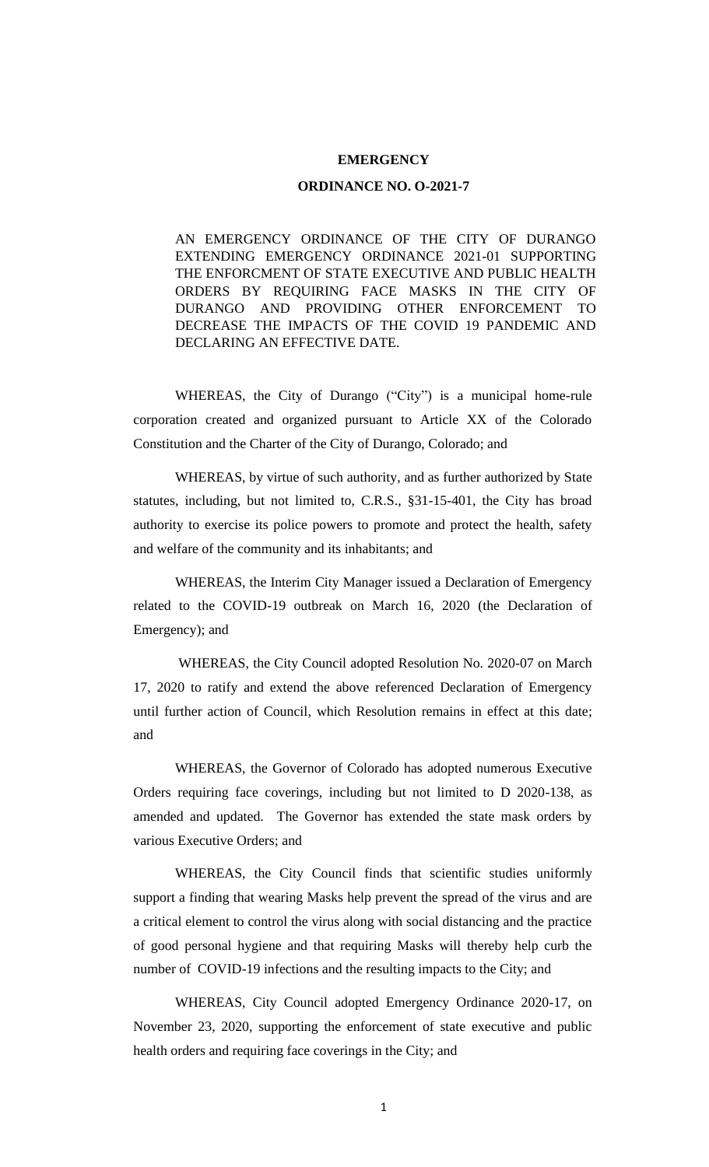#### **EMERGENCY**

#### **ORDINANCE NO. O-2021-7**

AN EMERGENCY ORDINANCE OF THE CITY OF DURANGO EXTENDING EMERGENCY ORDINANCE 2021-01 SUPPORTING THE ENFORCMENT OF STATE EXECUTIVE AND PUBLIC HEALTH ORDERS BY REQUIRING FACE MASKS IN THE CITY OF DURANGO AND PROVIDING OTHER ENFORCEMENT TO DECREASE THE IMPACTS OF THE COVID 19 PANDEMIC AND DECLARING AN EFFECTIVE DATE.

WHEREAS, the City of Durango ("City") is a municipal home-rule corporation created and organized pursuant to Article XX of the Colorado Constitution and the Charter of the City of Durango, Colorado; and

WHEREAS, by virtue of such authority, and as further authorized by State statutes, including, but not limited to, C.R.S., §31-15-401, the City has broad authority to exercise its police powers to promote and protect the health, safety and welfare of the community and its inhabitants; and

WHEREAS, the Interim City Manager issued a Declaration of Emergency related to the COVID-19 outbreak on March 16, 2020 (the Declaration of Emergency); and

WHEREAS, the City Council adopted Resolution No. 2020-07 on March 17, 2020 to ratify and extend the above referenced Declaration of Emergency until further action of Council, which Resolution remains in effect at this date; and

WHEREAS, the Governor of Colorado has adopted numerous Executive Orders requiring face coverings, including but not limited to D 2020-138, as amended and updated. The Governor has extended the state mask orders by various Executive Orders; and

WHEREAS, the City Council finds that scientific studies uniformly support a finding that wearing Masks help prevent the spread of the virus and are a critical element to control the virus along with social distancing and the practice of good personal hygiene and that requiring Masks will thereby help curb the number of COVID-19 infections and the resulting impacts to the City; and

WHEREAS, City Council adopted Emergency Ordinance 2020-17, on November 23, 2020, supporting the enforcement of state executive and public health orders and requiring face coverings in the City; and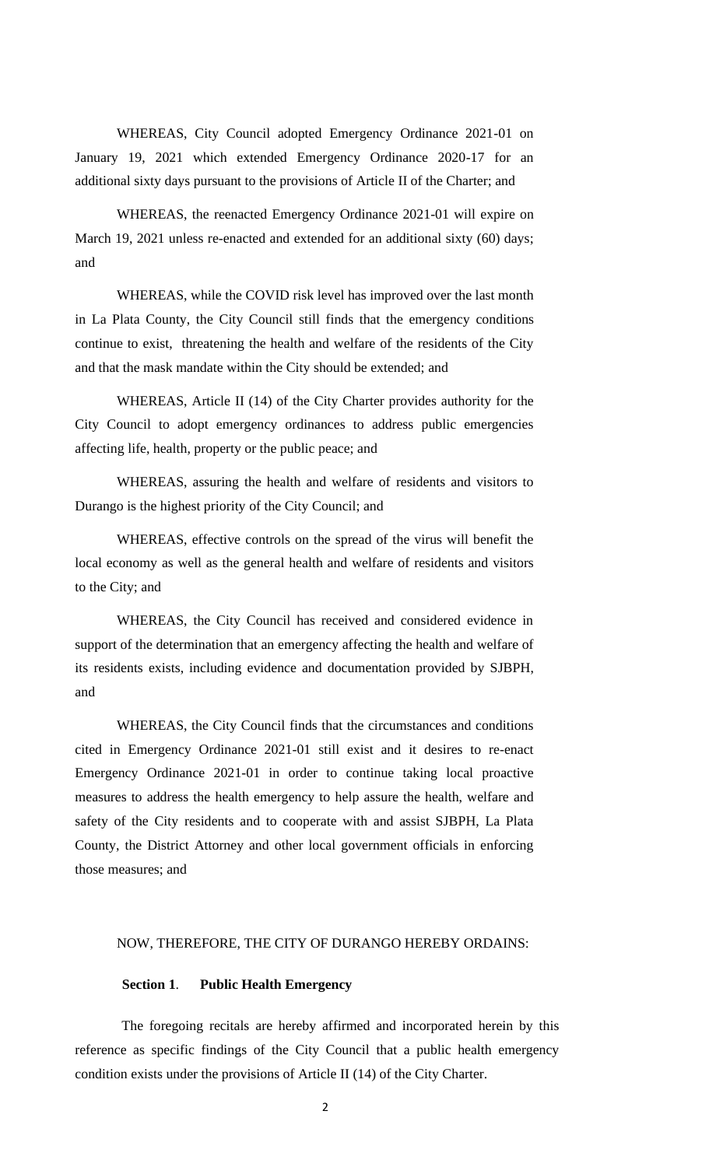WHEREAS, City Council adopted Emergency Ordinance 2021-01 on January 19, 2021 which extended Emergency Ordinance 2020-17 for an additional sixty days pursuant to the provisions of Article II of the Charter; and

WHEREAS, the reenacted Emergency Ordinance 2021-01 will expire on March 19, 2021 unless re-enacted and extended for an additional sixty (60) days; and

WHEREAS, while the COVID risk level has improved over the last month in La Plata County, the City Council still finds that the emergency conditions continue to exist, threatening the health and welfare of the residents of the City and that the mask mandate within the City should be extended; and

WHEREAS, Article II (14) of the City Charter provides authority for the City Council to adopt emergency ordinances to address public emergencies affecting life, health, property or the public peace; and

WHEREAS, assuring the health and welfare of residents and visitors to Durango is the highest priority of the City Council; and

WHEREAS, effective controls on the spread of the virus will benefit the local economy as well as the general health and welfare of residents and visitors to the City; and

WHEREAS, the City Council has received and considered evidence in support of the determination that an emergency affecting the health and welfare of its residents exists, including evidence and documentation provided by SJBPH, and

WHEREAS, the City Council finds that the circumstances and conditions cited in Emergency Ordinance 2021-01 still exist and it desires to re-enact Emergency Ordinance 2021-01 in order to continue taking local proactive measures to address the health emergency to help assure the health, welfare and safety of the City residents and to cooperate with and assist SJBPH, La Plata County, the District Attorney and other local government officials in enforcing those measures; and

# NOW, THEREFORE, THE CITY OF DURANGO HEREBY ORDAINS:

### **Section 1**. **Public Health Emergency**

The foregoing recitals are hereby affirmed and incorporated herein by this reference as specific findings of the City Council that a public health emergency condition exists under the provisions of Article II (14) of the City Charter.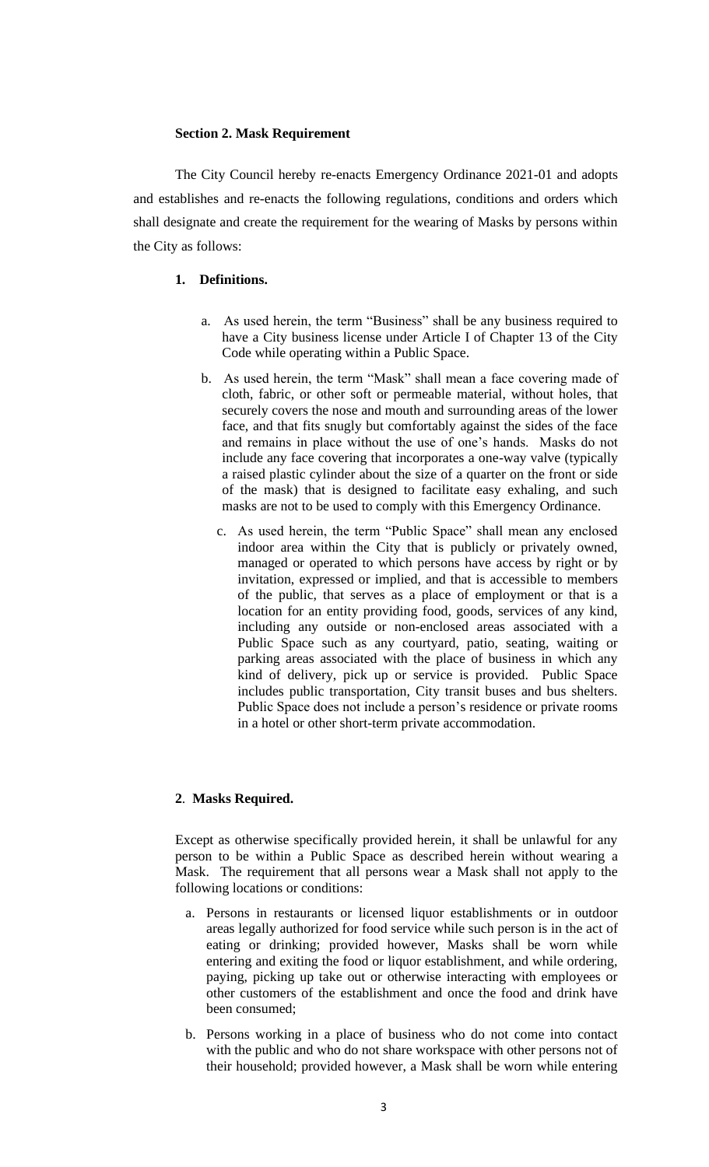### **Section 2. Mask Requirement**

The City Council hereby re-enacts Emergency Ordinance 2021-01 and adopts and establishes and re-enacts the following regulations, conditions and orders which shall designate and create the requirement for the wearing of Masks by persons within the City as follows:

# **1. Definitions.**

- a. As used herein, the term "Business" shall be any business required to have a City business license under Article I of Chapter 13 of the City Code while operating within a Public Space.
- b. As used herein, the term "Mask" shall mean a face covering made of cloth, fabric, or other soft or permeable material, without holes, that securely covers the nose and mouth and surrounding areas of the lower face, and that fits snugly but comfortably against the sides of the face and remains in place without the use of one's hands. Masks do not include any face covering that incorporates a one-way valve (typically a raised plastic cylinder about the size of a quarter on the front or side of the mask) that is designed to facilitate easy exhaling, and such masks are not to be used to comply with this Emergency Ordinance.
	- c. As used herein, the term "Public Space" shall mean any enclosed indoor area within the City that is publicly or privately owned, managed or operated to which persons have access by right or by invitation, expressed or implied, and that is accessible to members of the public, that serves as a place of employment or that is a location for an entity providing food, goods, services of any kind, including any outside or non-enclosed areas associated with a Public Space such as any courtyard, patio, seating, waiting or parking areas associated with the place of business in which any kind of delivery, pick up or service is provided. Public Space includes public transportation, City transit buses and bus shelters. Public Space does not include a person's residence or private rooms in a hotel or other short-term private accommodation.

# **2**. **Masks Required.**

Except as otherwise specifically provided herein, it shall be unlawful for any person to be within a Public Space as described herein without wearing a Mask. The requirement that all persons wear a Mask shall not apply to the following locations or conditions:

- a. Persons in restaurants or licensed liquor establishments or in outdoor areas legally authorized for food service while such person is in the act of eating or drinking; provided however, Masks shall be worn while entering and exiting the food or liquor establishment, and while ordering, paying, picking up take out or otherwise interacting with employees or other customers of the establishment and once the food and drink have been consumed;
- b. Persons working in a place of business who do not come into contact with the public and who do not share workspace with other persons not of their household; provided however, a Mask shall be worn while entering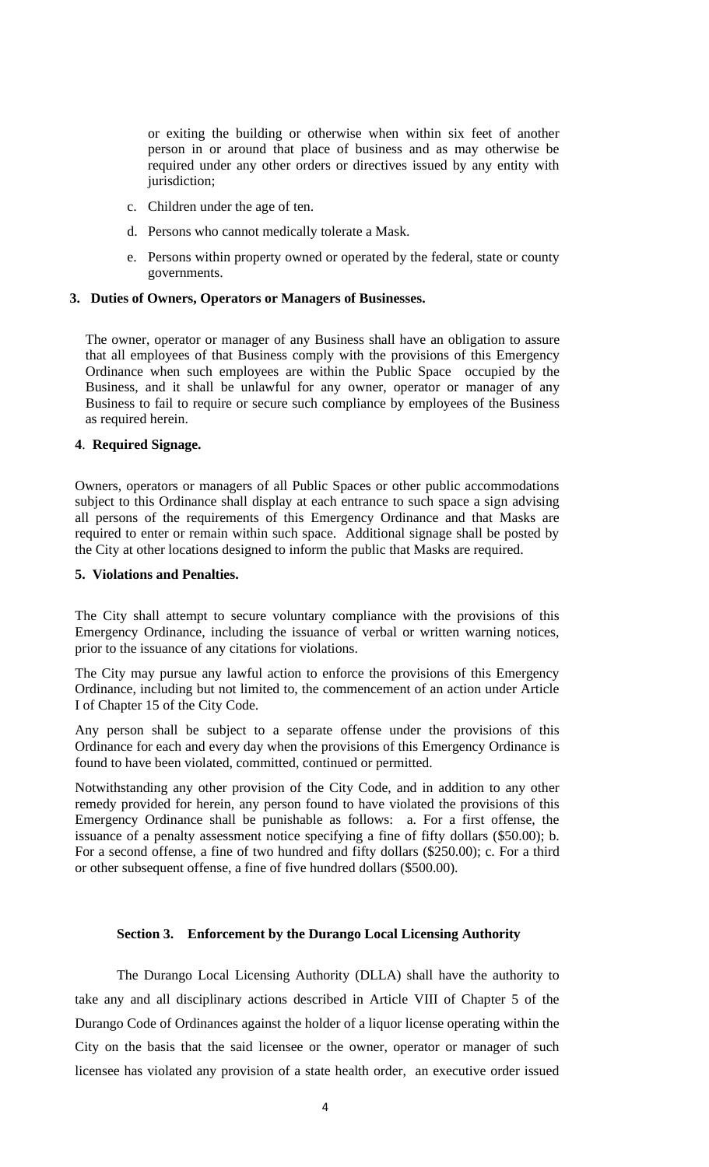or exiting the building or otherwise when within six feet of another person in or around that place of business and as may otherwise be required under any other orders or directives issued by any entity with jurisdiction;

- c. Children under the age of ten.
- d. Persons who cannot medically tolerate a Mask.
- e. Persons within property owned or operated by the federal, state or county governments.

#### **3. Duties of Owners, Operators or Managers of Businesses.**

The owner, operator or manager of any Business shall have an obligation to assure that all employees of that Business comply with the provisions of this Emergency Ordinance when such employees are within the Public Space occupied by the Business, and it shall be unlawful for any owner, operator or manager of any Business to fail to require or secure such compliance by employees of the Business as required herein.

#### **4**. **Required Signage.**

Owners, operators or managers of all Public Spaces or other public accommodations subject to this Ordinance shall display at each entrance to such space a sign advising all persons of the requirements of this Emergency Ordinance and that Masks are required to enter or remain within such space. Additional signage shall be posted by the City at other locations designed to inform the public that Masks are required.

#### **5. Violations and Penalties.**

The City shall attempt to secure voluntary compliance with the provisions of this Emergency Ordinance, including the issuance of verbal or written warning notices, prior to the issuance of any citations for violations.

The City may pursue any lawful action to enforce the provisions of this Emergency Ordinance, including but not limited to, the commencement of an action under Article I of Chapter 15 of the City Code.

Any person shall be subject to a separate offense under the provisions of this Ordinance for each and every day when the provisions of this Emergency Ordinance is found to have been violated, committed, continued or permitted.

Notwithstanding any other provision of the City Code, and in addition to any other remedy provided for herein, any person found to have violated the provisions of this Emergency Ordinance shall be punishable as follows: a. For a first offense, the issuance of a penalty assessment notice specifying a fine of fifty dollars (\$50.00); b. For a second offense, a fine of two hundred and fifty dollars (\$250.00); c. For a third or other subsequent offense, a fine of five hundred dollars (\$500.00).

## **Section 3. Enforcement by the Durango Local Licensing Authority**

The Durango Local Licensing Authority (DLLA) shall have the authority to take any and all disciplinary actions described in Article VIII of Chapter 5 of the Durango Code of Ordinances against the holder of a liquor license operating within the City on the basis that the said licensee or the owner, operator or manager of such licensee has violated any provision of a state health order, an executive order issued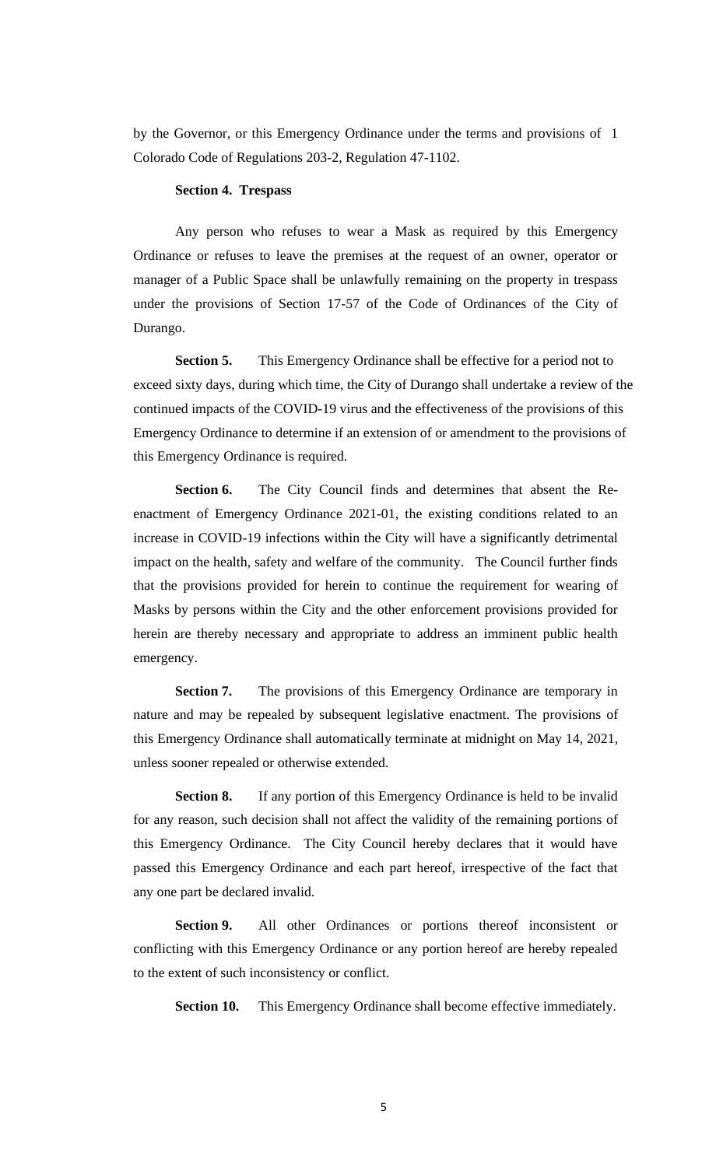by the Governor, or this Emergency Ordinance under the terms and provisions of 1 Colorado Code of Regulations 203-2, Regulation 47-1102.

### **Section 4. Trespass**

Any person who refuses to wear a Mask as required by this Emergency Ordinance or refuses to leave the premises at the request of an owner, operator or manager of a Public Space shall be unlawfully remaining on the property in trespass under the provisions of Section 17-57 of the Code of Ordinances of the City of Durango.

**Section 5.** This Emergency Ordinance shall be effective for a period not to exceed sixty days, during which time, the City of Durango shall undertake a review of the continued impacts of the COVID-19 virus and the effectiveness of the provisions of this Emergency Ordinance to determine if an extension of or amendment to the provisions of this Emergency Ordinance is required.

**Section 6.** The City Council finds and determines that absent the Reenactment of Emergency Ordinance 2021-01, the existing conditions related to an increase in COVID-19 infections within the City will have a significantly detrimental impact on the health, safety and welfare of the community. The Council further finds that the provisions provided for herein to continue the requirement for wearing of Masks by persons within the City and the other enforcement provisions provided for herein are thereby necessary and appropriate to address an imminent public health emergency.

**Section 7.** The provisions of this Emergency Ordinance are temporary in nature and may be repealed by subsequent legislative enactment. The provisions of this Emergency Ordinance shall automatically terminate at midnight on May 14, 2021, unless sooner repealed or otherwise extended.

**Section 8.** If any portion of this Emergency Ordinance is held to be invalid for any reason, such decision shall not affect the validity of the remaining portions of this Emergency Ordinance. The City Council hereby declares that it would have passed this Emergency Ordinance and each part hereof, irrespective of the fact that any one part be declared invalid.

**Section 9.** All other Ordinances or portions thereof inconsistent or conflicting with this Emergency Ordinance or any portion hereof are hereby repealed to the extent of such inconsistency or conflict.

**Section 10.** This Emergency Ordinance shall become effective immediately.